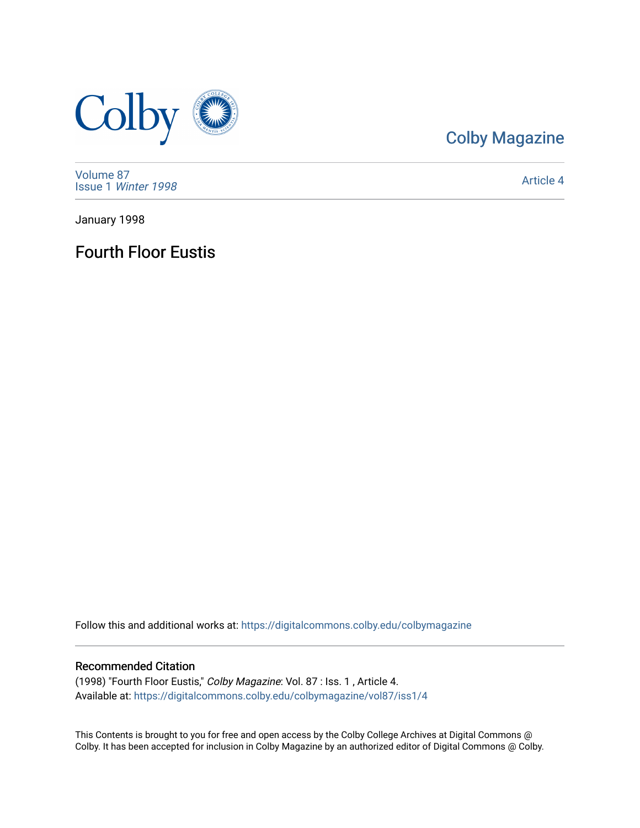

# [Colby Magazine](https://digitalcommons.colby.edu/colbymagazine)

[Volume 87](https://digitalcommons.colby.edu/colbymagazine/vol87) Issue 1 [Winter 1998](https://digitalcommons.colby.edu/colbymagazine/vol87/iss1) 

[Article 4](https://digitalcommons.colby.edu/colbymagazine/vol87/iss1/4) 

January 1998

Fourth Floor Eustis

Follow this and additional works at: [https://digitalcommons.colby.edu/colbymagazine](https://digitalcommons.colby.edu/colbymagazine?utm_source=digitalcommons.colby.edu%2Fcolbymagazine%2Fvol87%2Fiss1%2F4&utm_medium=PDF&utm_campaign=PDFCoverPages)

## Recommended Citation

(1998) "Fourth Floor Eustis," Colby Magazine: Vol. 87 : Iss. 1 , Article 4. Available at: [https://digitalcommons.colby.edu/colbymagazine/vol87/iss1/4](https://digitalcommons.colby.edu/colbymagazine/vol87/iss1/4?utm_source=digitalcommons.colby.edu%2Fcolbymagazine%2Fvol87%2Fiss1%2F4&utm_medium=PDF&utm_campaign=PDFCoverPages)

This Contents is brought to you for free and open access by the Colby College Archives at Digital Commons @ Colby. It has been accepted for inclusion in Colby Magazine by an authorized editor of Digital Commons @ Colby.